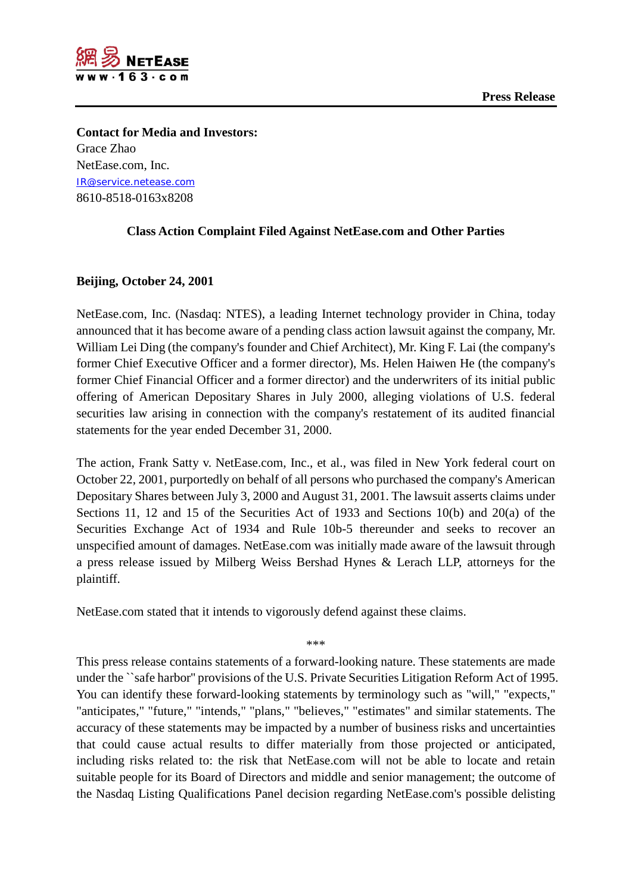

**Contact for Media and Investors:** Grace Zhao NetEase.com, Inc. [IR@service.netease.com](mailto:IR@service.netease.com) 8610-8518-0163x8208

## **Class Action Complaint Filed Against NetEase.com and Other Parties**

## **Beijing, October 24, 2001**

NetEase.com, Inc. (Nasdaq: NTES), a leading Internet technology provider in China, today announced that it has become aware of a pending class action lawsuit against the company, Mr. William Lei Ding (the company's founder and Chief Architect), Mr. King F. Lai (the company's former Chief Executive Officer and a former director), Ms. Helen Haiwen He (the company's former Chief Financial Officer and a former director) and the underwriters of its initial public offering of American Depositary Shares in July 2000, alleging violations of U.S. federal securities law arising in connection with the company's restatement of its audited financial statements for the year ended December 31, 2000.

The action, Frank Satty v. NetEase.com, Inc., et al., was filed in New York federal court on October 22, 2001, purportedly on behalf of all persons who purchased the company's American Depositary Shares between July 3, 2000 and August 31, 2001. The lawsuit asserts claims under Sections 11, 12 and 15 of the Securities Act of 1933 and Sections 10(b) and 20(a) of the Securities Exchange Act of 1934 and Rule 10b-5 thereunder and seeks to recover an unspecified amount of damages. NetEase.com was initially made aware of the lawsuit through a press release issued by Milberg Weiss Bershad Hynes & Lerach LLP, attorneys for the plaintiff.

NetEase.com stated that it intends to vigorously defend against these claims.

\*\*\*

This press release contains statements of a forward-looking nature. These statements are made under the ``safe harbor'' provisions of the U.S. Private Securities Litigation Reform Act of 1995. You can identify these forward-looking statements by terminology such as "will," "expects," "anticipates," "future," "intends," "plans," "believes," "estimates" and similar statements. The accuracy of these statements may be impacted by a number of business risks and uncertainties that could cause actual results to differ materially from those projected or anticipated, including risks related to: the risk that NetEase.com will not be able to locate and retain suitable people for its Board of Directors and middle and senior management; the outcome of the Nasdaq Listing Qualifications Panel decision regarding NetEase.com's possible delisting